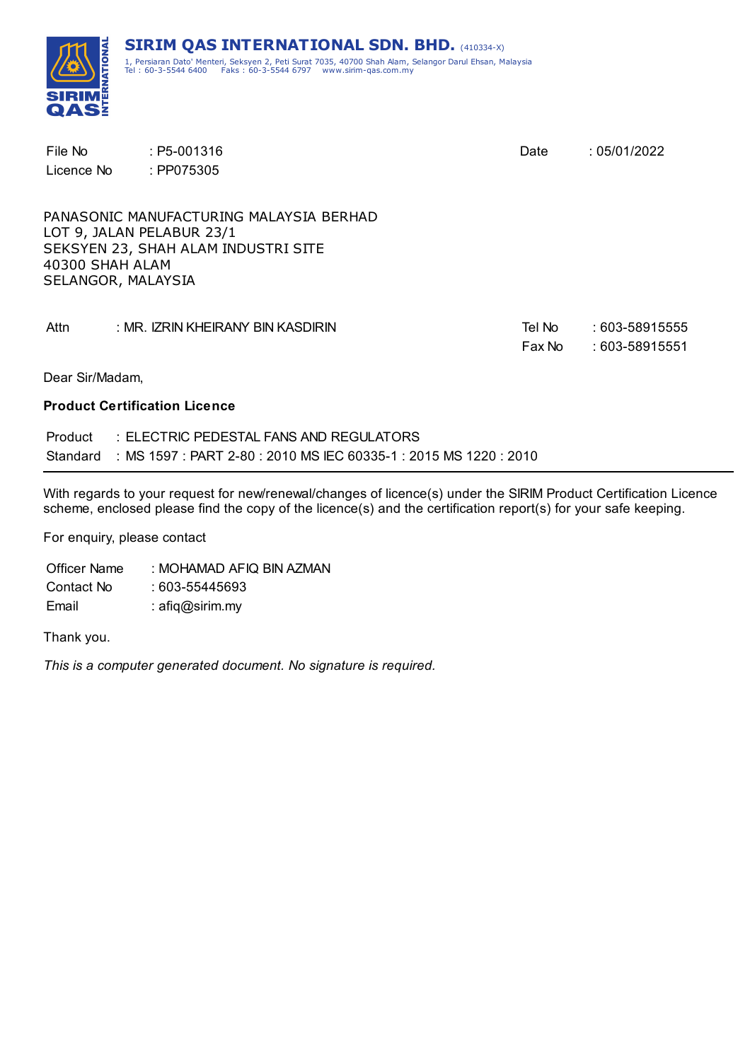

| File No<br>Licence No                 | $: P5-001316$<br>: PP075305                                                                                 | Date             | :05/01/2022                      |
|---------------------------------------|-------------------------------------------------------------------------------------------------------------|------------------|----------------------------------|
| 40300 SHAH ALAM<br>SELANGOR, MALAYSIA | PANASONIC MANUFACTURING MALAYSIA BERHAD<br>LOT 9, JALAN PELABUR 23/1<br>SEKSYEN 23, SHAH ALAM INDUSTRI SITE |                  |                                  |
| Attn                                  | : MR. IZRIN KHEIRANY BIN KASDIRIN                                                                           | Tel No<br>Fax No | : 603-58915555<br>: 603-58915551 |
| Dear Sir/Madam,                       |                                                                                                             |                  |                                  |

#### **Product Certification Licence**

| Product | : ELECTRIC PEDESTAL FANS AND REGULATORS                                    |
|---------|----------------------------------------------------------------------------|
|         | Standard : MS 1597 : PART 2-80 : 2010 MS IEC 60335-1 : 2015 MS 1220 : 2010 |

With regards to your request for new/renewal/changes of licence(s) under the SIRIM Product Certification Licence scheme, enclosed please find the copy of the licence(s) and the certification report(s) for your safe keeping.

For enquiry, please contact

Officer Name : MOHAMAD AFIQ BIN AZMAN Contact No : 603-55445693 Email : afiq@sirim.my

Thank you.

*This is a computer generated document. No signature is required.*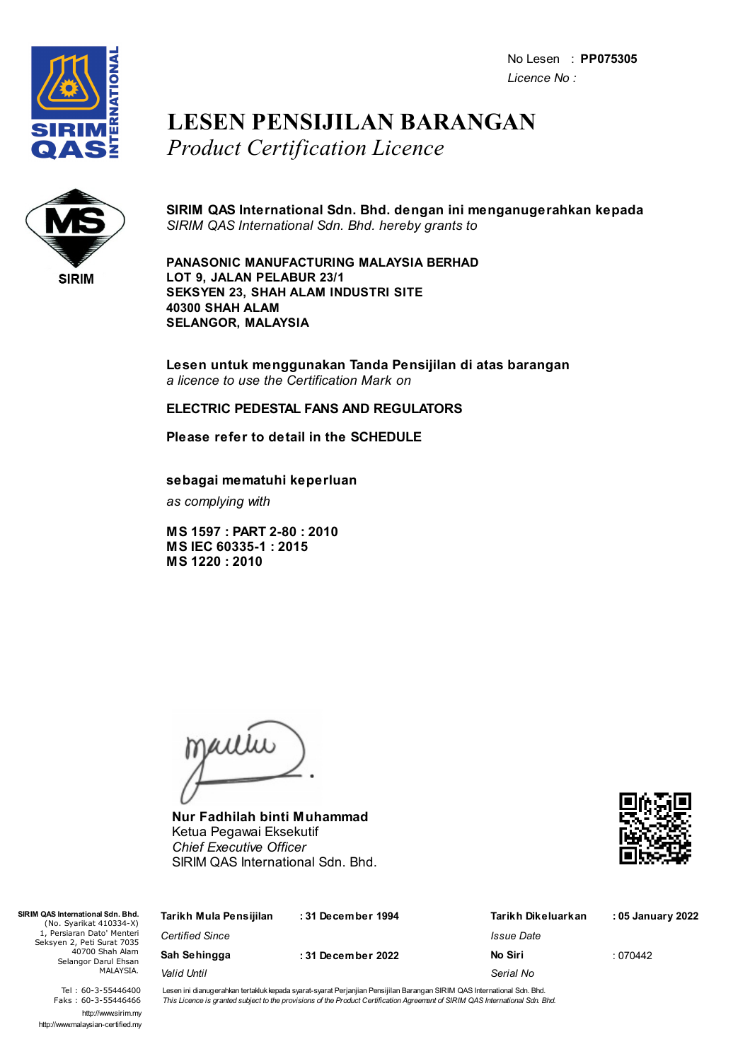No Lesen : **PP075305** *Licence No :*



## **LESEN PENSIJILAN BARANGAN** *Product Certification Licence*



**SIRIM QAS International Sdn. Bhd. dengan ini menganugerahkan kepada** *SIRIM QAS International Sdn. Bhd. hereby grants to*

**PANASONIC MANUFACTURING MALAYSIA BERHAD LOT 9, JALAN PELABUR 23/1 SEKSYEN 23, SHAH ALAM INDUSTRI SITE 40300 SHAH ALAM SELANGOR, MALAYSIA**

**Lesen untuk menggunakan Tanda Pensijilan di atas barangan** *a licence to use the Certification Mark on*

### **ELECTRIC PEDESTAL FANS AND REGULATORS**

**Please refer to detail in the SCHEDULE**

**sebagai mematuhi keperluan**

*as complying with*

**MS 1597 : PART 2-80 : 2010 MS IEC 60335-1 : 2015 MS 1220 : 2010**

jailie

**Nur Fadhilah binti Muhammad** Ketua Pegawai Eksekutif *Chief Executive Officer* SIRIM QAS International Sdn. Bhd.



| SIRIM QAS International Sdn. Bhd.<br>(No. Syarikat 410334-X)                                                     | Tarikh Mula Pensijilan | :31 December 1994 | Tarikh Dikeluarkan | : 05 January 2022 |
|------------------------------------------------------------------------------------------------------------------|------------------------|-------------------|--------------------|-------------------|
| 1, Persiaran Dato' Menteri<br>Seksyen 2, Peti Surat 7035<br>40700 Shah Alam<br>Selangor Darul Ehsan<br>MALAYSIA. | <b>Certified Since</b> |                   | Issue Date         |                   |
|                                                                                                                  | Sah Sehingga           | :31 December 2022 | No Siri            | :070442           |
|                                                                                                                  | Valid Until            |                   | Serial No          |                   |
|                                                                                                                  |                        |                   |                    |                   |

Tel : 60-3-55446400 Faks : 60-3-55446466 http://www.sirim.my http://www.malaysian-certified.my Lesen ini dianugerahkan tertakluk kepada syarat-syarat Perjanjian Pensijilan Barangan SIRIM QAS International Sdn. Bhd. This Licence is granted subject to the provisions of the Product Certification Agreement of SIRIM QAS International Sdn. Bhd.